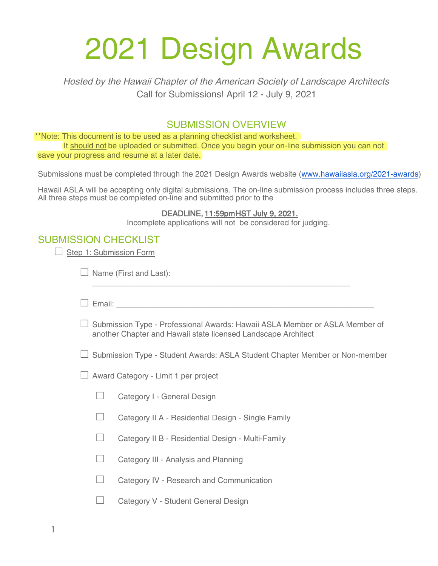## 2021 Design Awards

Hosted by the Hawaii Chapter of the American Society of Landscape Architects Call for Submissions! April 12 - July 9, 2021

## SUBMISSION OVERVIEW

\*\*Note: This document is to be used as a planning checklist and worksheet. It should not be uploaded or submitted. Once you begin your on-line submission you can not save your progress and resume at a later date.

Submissions must be completed through the 2021 Design Awards website [\(www.hawaiiasla.org/2021-awards](http://www.hawaiiasla.org/2018-awards))

Hawaii ASLA will be accepting only digital submissions. The on-line submission process includes three steps. All three steps must be completed on-line and submitted prior to the

## DEADLINE, 11:59pm HST July 9, 2021.

Incomplete applications will not be considered for judging.

## SUBMISSION CHECKLIST

| Step 1: Submission Form                                                                                                                      |                                                                                                                                                                                                                                      |                                                    |  |
|----------------------------------------------------------------------------------------------------------------------------------------------|--------------------------------------------------------------------------------------------------------------------------------------------------------------------------------------------------------------------------------------|----------------------------------------------------|--|
|                                                                                                                                              | Name (First and Last):                                                                                                                                                                                                               |                                                    |  |
|                                                                                                                                              | Email: <u>Alexander Alexander Alexander Alexander Alexander Alexander Alexander Alexander Alexander Alexander Alexander Alexander Alexander Alexander Alexander Alexander Alexander Alexander Alexander Alexander Alexander Alex</u> |                                                    |  |
| Submission Type - Professional Awards: Hawaii ASLA Member or ASLA Member of<br>another Chapter and Hawaii state licensed Landscape Architect |                                                                                                                                                                                                                                      |                                                    |  |
| Submission Type - Student Awards: ASLA Student Chapter Member or Non-member                                                                  |                                                                                                                                                                                                                                      |                                                    |  |
| Award Category - Limit 1 per project                                                                                                         |                                                                                                                                                                                                                                      |                                                    |  |
|                                                                                                                                              | $\Box$                                                                                                                                                                                                                               | Category I - General Design                        |  |
|                                                                                                                                              | $\sqcup$                                                                                                                                                                                                                             | Category II A - Residential Design - Single Family |  |
|                                                                                                                                              | $\Box$                                                                                                                                                                                                                               | Category II B - Residential Design - Multi-Family  |  |
|                                                                                                                                              | ⊔                                                                                                                                                                                                                                    | Category III - Analysis and Planning               |  |
|                                                                                                                                              | $\Box$                                                                                                                                                                                                                               | Category IV - Research and Communication           |  |
|                                                                                                                                              |                                                                                                                                                                                                                                      | Category V - Student General Design                |  |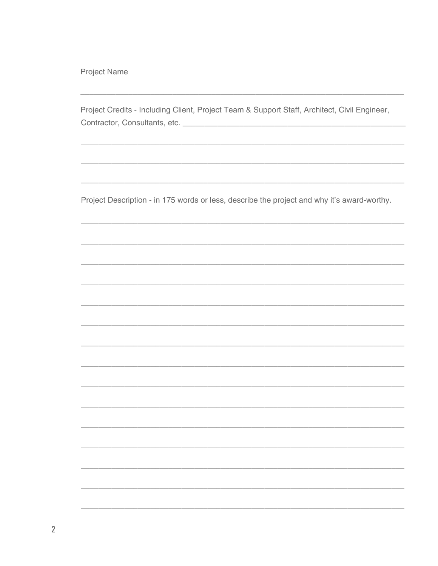Project Name

Project Credits - Including Client, Project Team & Support Staff, Architect, Civil Engineer, 

Project Description - in 175 words or less, describe the project and why it's award-worthy.